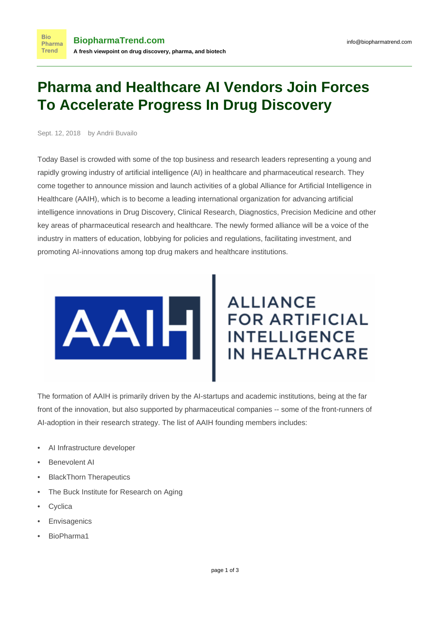## **Pharma and Healthcare AI Vendors Join Forces To Accelerate Progress In Drug Discovery**

Sept. 12, 2018 by Andrii Buvailo

**Bio** Pharma **Trend** 

Today Basel is crowded with some of the top business and research leaders representing a young and rapidly growing industry of artificial intelligence (AI) in healthcare and pharmaceutical research. They come together to announce mission and launch activities of a global [Alliance for Artificial Intelligence in](https://www.theaaih.org) [Healthcare \(AAIH\)](https://www.theaaih.org), which is to become a leading international organization for advancing artificial intelligence innovations in Drug Discovery, Clinical Research, Diagnostics, Precision Medicine and other key areas of pharmaceutical research and healthcare. The newly formed alliance will be a voice of the industry in matters of education, lobbying for policies and regulations, facilitating investment, and promoting AI-innovations among top drug makers and healthcare institutions.



## **ALLIANCE** FOR ARTIFICIA **FOR ARTIFICIAL IN HEALTHCARE**

The formation of AAIH is primarily driven by the AI-startups and academic institutions, being at the far front of the innovation, but also supported by pharmaceutical companies -- some of the front-runners of AI-adoption in their research strategy. The list of AAIH founding members includes:

- AI Infrastructure developer
- **Benevolent AI**
- BlackThorn Therapeutics
- The Buck Institute for Research on Aging
- **Cyclica**
- **Envisagenics**
- BioPharma1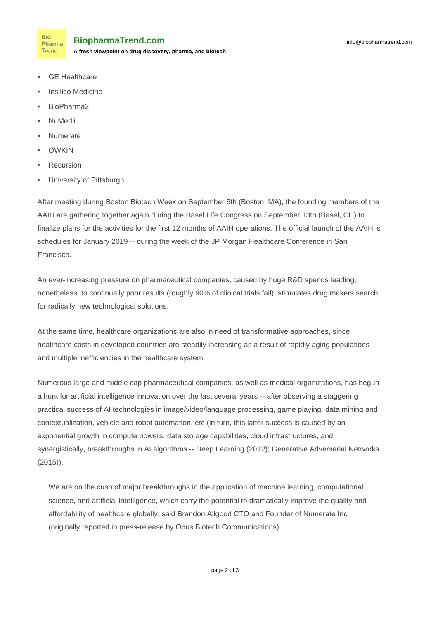**Bio** Pharma **Trend** 

**A fresh viewpoint on drug discovery, pharma, and biotech**

- **GE** Healthcare
- Insilico Medicine
- BioPharma2
- NuMedii
- Numerate
- **OWKIN**
- **Recursion**
- University of Pittsburgh

After meeting during Boston Biotech Week on September 6th (Boston, MA), the founding members of the AAIH are gathering together again during the Basel Life Congress on September 13th (Basel, CH) to finalize plans for the activities for the first 12 months of AAIH operations. The official launch of the AAIH is schedules for January 2019 -- during the week of the JP Morgan Healthcare Conference in San Francisco.

An ever-increasing pressure on pharmaceutical companies, caused by huge R&D spends leading, nonetheless, to continually poor results (roughly 90% of clinical trials fail), stimulates drug makers search for radically new technological solutions.

At the same time, healthcare organizations are also in need of transformative approaches, since healthcare costs in developed countries are steadily increasing as a result of rapidly aging populations and multiple inefficiencies in the healthcare system.

Numerous large and middle cap pharmaceutical companies, as well as medical organizations, has begun a [hunt for artificial intelligence innovation](https://www.biopharmatrend.com/post/34-biopharmas-hunt-for-artificial-intelligence-who-does-what/) over the last several years -- after observing a staggering practical success of AI technologies in image/video/language processing, game playing, data mining and contextualization, vehicle and robot automation, etc (in turn, this latter success is caused by an exponential growth in compute powers, data storage capabilities, cloud infrastructures, and synergistically, breakthroughs in AI algorithms -- Deep Learning (2012); Generative Adversarial Networks (2015)).

We are on the cusp of major breakthroughs in the application of machine learning, computational science, and artificial intelligence, which carry the potential to dramatically improve the quality and affordability of healthcare globally, said Brandon Allgood CTO and Founder of Numerate Inc [\(originally reported](https://www.businesswire.com/news/home/20180912005177/en/Alliance-Artificial-Intelligence-Healthcare-AAIH-Convenes-Boston) in press-release by Opus Biotech Communications).